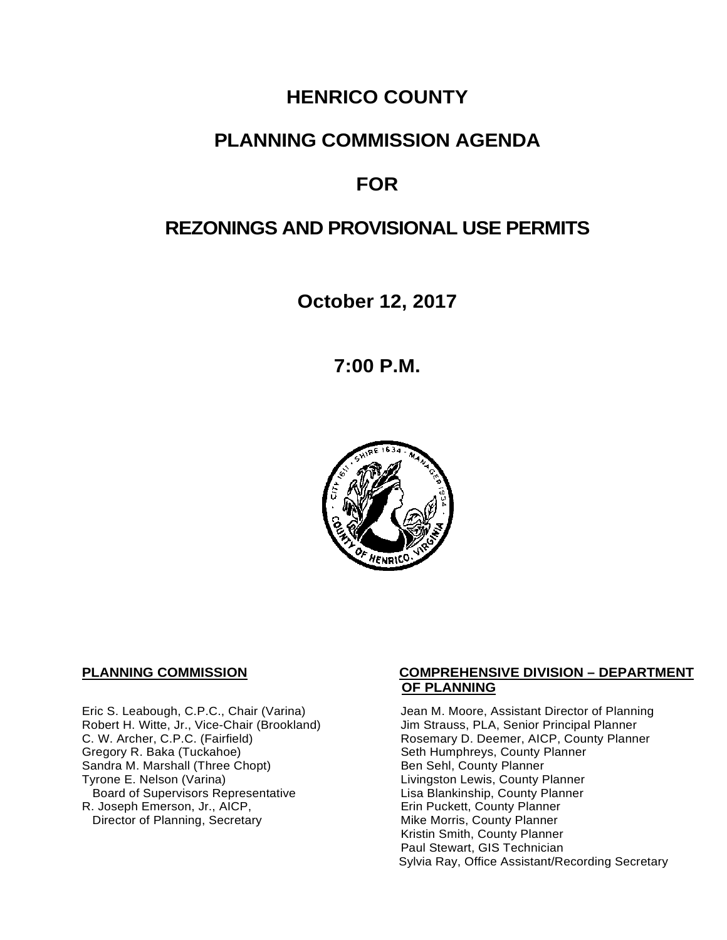# **HENRICO COUNTY**

# **PLANNING COMMISSION AGENDA**

# **FOR**

# **REZONINGS AND PROVISIONAL USE PERMITS**

**October 12, 2017**

**7:00 P.M.**



Robert H. Witte, Jr., Vice-Chair (Brookland)<br>C. W. Archer, C.P.C. (Fairfield) Gregory R. Baka (Tuckahoe) <br>
Sandra M. Marshall (Three Chopt) Sandra M. County Planner Sandra M. Marshall (Three Chopt)<br>Tyrone E. Nelson (Varina) Board of Supervisors Representative 
Lisa Blankinship, County Planner<br>
Lisa Blankinship, County Planner<br>
Lisa Blankinship, County Planner R. Joseph Emerson, Jr., AICP, Entertainment and Trin Puckett, County Planner<br>Director of Planning, Secretary **Example 20** Mike Morris, County Planner Director of Planning, Secretary

#### **PLANNING COMMISSION COMPREHENSIVE DIVISION – DEPARTMENT OF PLANNING**

Eric S. Leabough, C.P.C., Chair (Varina) Jean M. Moore, Assistant Director of Planning<br>Robert H. Witte, Jr., Vice-Chair (Brookland) Jim Strauss, PLA, Senior Principal Planner Rosemary D. Deemer, AICP, County Planner<br>Seth Humphreys, County Planner Livingston Lewis, County Planner Kristin Smith, County Planner Paul Stewart, GIS Technician Sylvia Ray, Office Assistant/Recording Secretary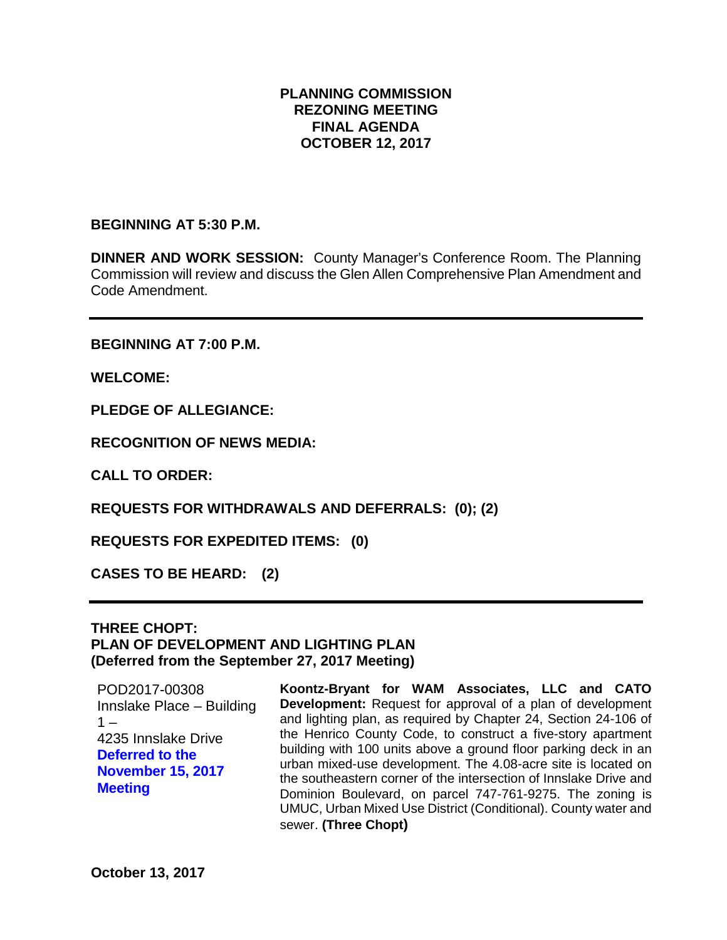## **PLANNING COMMISSION REZONING MEETING FINAL AGENDA OCTOBER 12, 2017**

### **BEGINNING AT 5:30 P.M.**

**DINNER AND WORK SESSION:** County Manager's Conference Room. The Planning Commission will review and discuss the Glen Allen Comprehensive Plan Amendment and Code Amendment.

**BEGINNING AT 7:00 P.M.**

**WELCOME:**

**PLEDGE OF ALLEGIANCE:**

**RECOGNITION OF NEWS MEDIA:**

**CALL TO ORDER:**

**REQUESTS FOR WITHDRAWALS AND DEFERRALS: (0); (2)**

**REQUESTS FOR EXPEDITED ITEMS: (0)**

**CASES TO BE HEARD: (2)**

## **THREE CHOPT: PLAN OF DEVELOPMENT AND LIGHTING PLAN (Deferred from the September 27, 2017 Meeting)**

POD2017-00308 Innslake Place – Building  $1 -$ 4235 Innslake Drive **Deferred to the November 15, 2017 Meeting**

**Koontz-Bryant for WAM Associates, LLC and CATO Development:** Request for approval of a plan of development and lighting plan, as required by Chapter 24, Section 24-106 of the Henrico County Code, to construct a five-story apartment building with 100 units above a ground floor parking deck in an urban mixed-use development. The 4.08-acre site is located on the southeastern corner of the intersection of Innslake Drive and Dominion Boulevard, on parcel 747-761-9275. The zoning is UMUC, Urban Mixed Use District (Conditional). County water and sewer. **(Three Chopt)**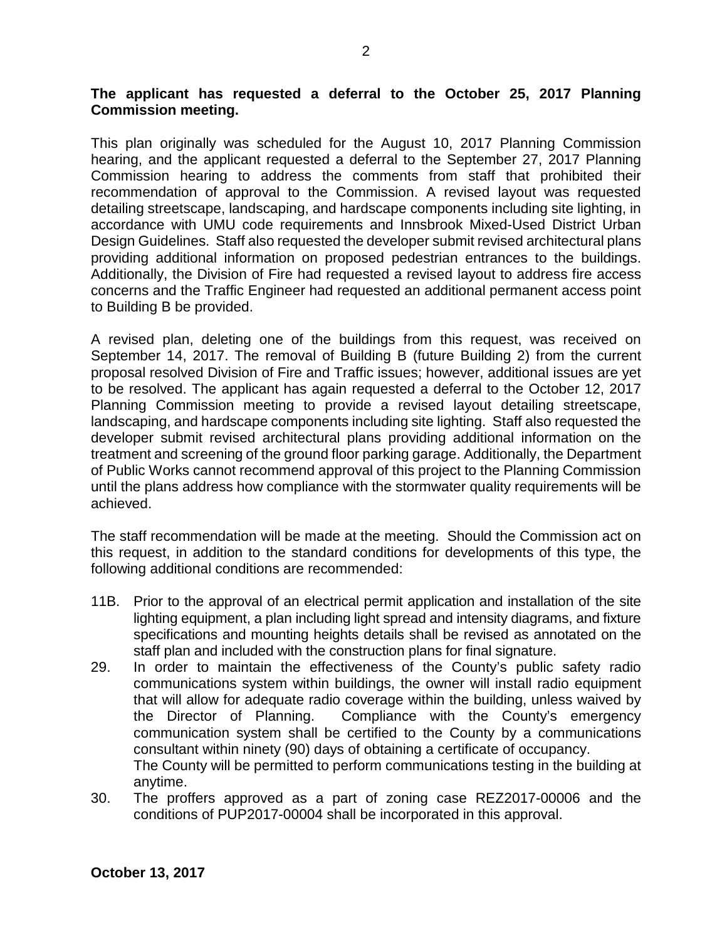## **The applicant has requested a deferral to the October 25, 2017 Planning Commission meeting.**

This plan originally was scheduled for the August 10, 2017 Planning Commission hearing, and the applicant requested a deferral to the September 27, 2017 Planning Commission hearing to address the comments from staff that prohibited their recommendation of approval to the Commission. A revised layout was requested detailing streetscape, landscaping, and hardscape components including site lighting, in accordance with UMU code requirements and Innsbrook Mixed-Used District Urban Design Guidelines. Staff also requested the developer submit revised architectural plans providing additional information on proposed pedestrian entrances to the buildings. Additionally, the Division of Fire had requested a revised layout to address fire access concerns and the Traffic Engineer had requested an additional permanent access point to Building B be provided.

A revised plan, deleting one of the buildings from this request, was received on September 14, 2017. The removal of Building B (future Building 2) from the current proposal resolved Division of Fire and Traffic issues; however, additional issues are yet to be resolved. The applicant has again requested a deferral to the October 12, 2017 Planning Commission meeting to provide a revised layout detailing streetscape, landscaping, and hardscape components including site lighting. Staff also requested the developer submit revised architectural plans providing additional information on the treatment and screening of the ground floor parking garage. Additionally, the Department of Public Works cannot recommend approval of this project to the Planning Commission until the plans address how compliance with the stormwater quality requirements will be achieved.

The staff recommendation will be made at the meeting. Should the Commission act on this request, in addition to the standard conditions for developments of this type, the following additional conditions are recommended:

- 11B. Prior to the approval of an electrical permit application and installation of the site lighting equipment, a plan including light spread and intensity diagrams, and fixture specifications and mounting heights details shall be revised as annotated on the staff plan and included with the construction plans for final signature.
- 29. In order to maintain the effectiveness of the County's public safety radio communications system within buildings, the owner will install radio equipment that will allow for adequate radio coverage within the building, unless waived by the Director of Planning. Compliance with the County's emergency communication system shall be certified to the County by a communications consultant within ninety (90) days of obtaining a certificate of occupancy. The County will be permitted to perform communications testing in the building at anytime.
- 30. The proffers approved as a part of zoning case REZ2017-00006 and the conditions of PUP2017-00004 shall be incorporated in this approval.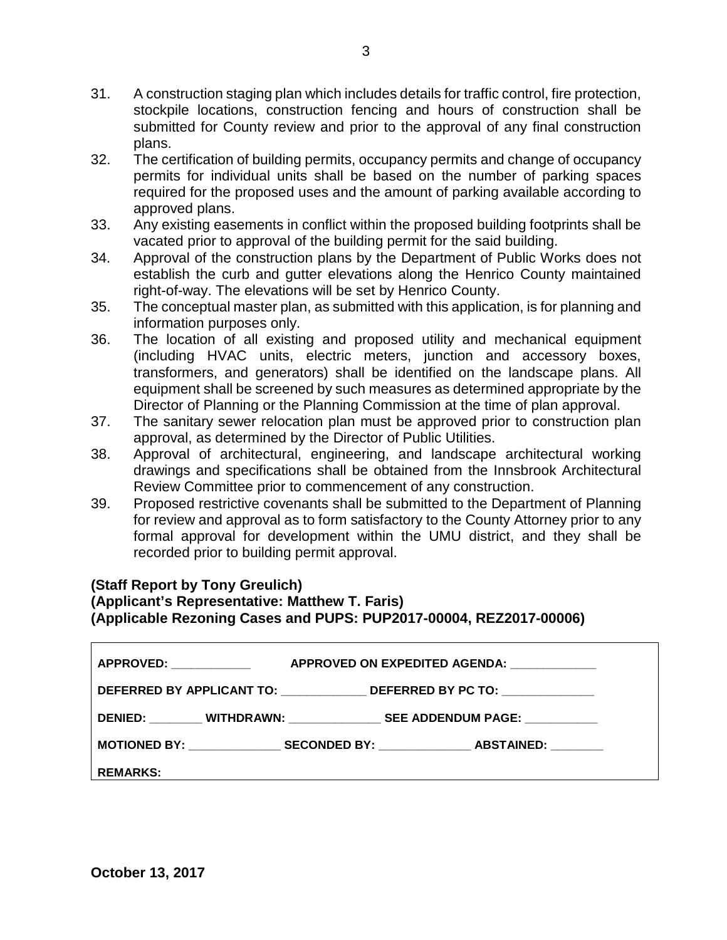- 31. A construction staging plan which includes details for traffic control, fire protection, stockpile locations, construction fencing and hours of construction shall be submitted for County review and prior to the approval of any final construction plans.
- 32. The certification of building permits, occupancy permits and change of occupancy permits for individual units shall be based on the number of parking spaces required for the proposed uses and the amount of parking available according to approved plans.
- 33. Any existing easements in conflict within the proposed building footprints shall be vacated prior to approval of the building permit for the said building.
- 34. Approval of the construction plans by the Department of Public Works does not establish the curb and gutter elevations along the Henrico County maintained right-of-way. The elevations will be set by Henrico County.
- 35. The conceptual master plan, as submitted with this application, is for planning and information purposes only.
- 36. The location of all existing and proposed utility and mechanical equipment (including HVAC units, electric meters, junction and accessory boxes, transformers, and generators) shall be identified on the landscape plans. All equipment shall be screened by such measures as determined appropriate by the Director of Planning or the Planning Commission at the time of plan approval.
- 37. The sanitary sewer relocation plan must be approved prior to construction plan approval, as determined by the Director of Public Utilities.
- 38. Approval of architectural, engineering, and landscape architectural working drawings and specifications shall be obtained from the Innsbrook Architectural Review Committee prior to commencement of any construction.
- 39. Proposed restrictive covenants shall be submitted to the Department of Planning for review and approval as to form satisfactory to the County Attorney prior to any formal approval for development within the UMU district, and they shall be recorded prior to building permit approval.

# **(Staff Report by Tony Greulich)**

# **(Applicant's Representative: Matthew T. Faris) (Applicable Rezoning Cases and PUPS: PUP2017-00004, REZ2017-00006)**

| APPROVED: Network and the set of the set of the set of the set of the set of the set of the set of the set of | APPROVED ON EXPEDITED AGENDA: ____________                                       |
|---------------------------------------------------------------------------------------------------------------|----------------------------------------------------------------------------------|
|                                                                                                               | DEFERRED BY APPLICANT TO: ______________________DEFERRED BY PC TO: _____________ |
|                                                                                                               | DENIED: WITHDRAWN: SEE ADDENDUM PAGE:                                            |
|                                                                                                               |                                                                                  |
| I REMARKS:                                                                                                    |                                                                                  |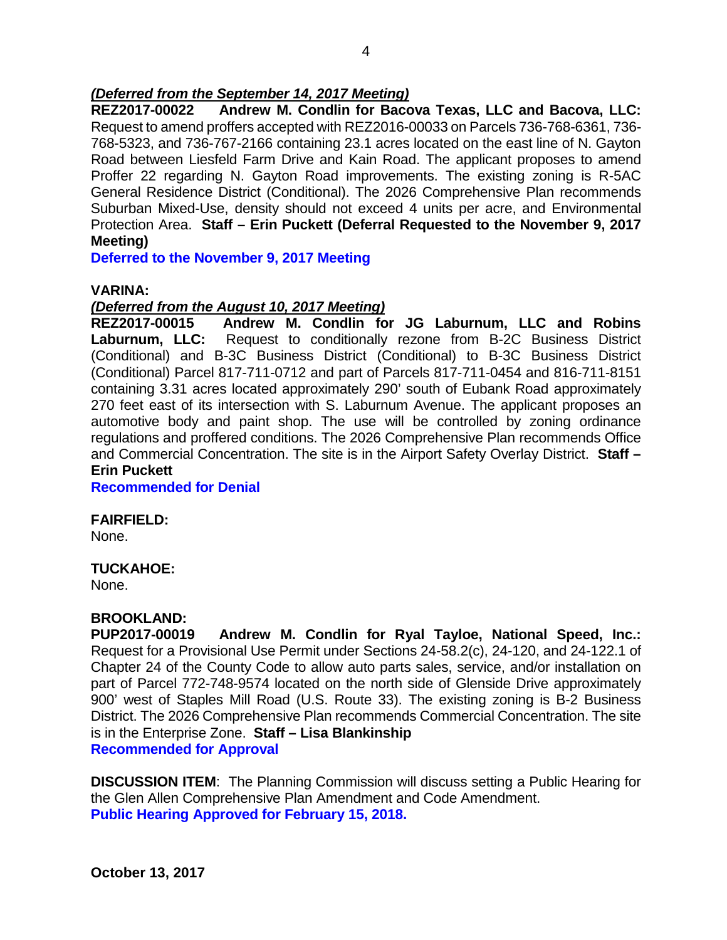## *(Deferred from the September 14, 2017 Meeting)*

**REZ2017-00022 Andrew M. Condlin for Bacova Texas, LLC and Bacova, LLC:** Request to amend proffers accepted with REZ2016-00033 on Parcels 736-768-6361, 736- 768-5323, and 736-767-2166 containing 23.1 acres located on the east line of N. Gayton Road between Liesfeld Farm Drive and Kain Road. The applicant proposes to amend Proffer 22 regarding N. Gayton Road improvements. The existing zoning is R-5AC General Residence District (Conditional). The 2026 Comprehensive Plan recommends Suburban Mixed-Use, density should not exceed 4 units per acre, and Environmental Protection Area. **Staff – Erin Puckett (Deferral Requested to the November 9, 2017 Meeting)**

**Deferred to the November 9, 2017 Meeting**

#### **VARINA:**

#### *(Deferred from the August 10, 2017 Meeting)*

**REZ2017-00015 Andrew M. Condlin for JG Laburnum, LLC and Robins Laburnum, LLC:** Request to conditionally rezone from B-2C Business District (Conditional) and B-3C Business District (Conditional) to B-3C Business District (Conditional) Parcel 817-711-0712 and part of Parcels 817-711-0454 and 816-711-8151 containing 3.31 acres located approximately 290' south of Eubank Road approximately 270 feet east of its intersection with S. Laburnum Avenue. The applicant proposes an automotive body and paint shop. The use will be controlled by zoning ordinance regulations and proffered conditions. The 2026 Comprehensive Plan recommends Office and Commercial Concentration. The site is in the Airport Safety Overlay District. **Staff – Erin Puckett** 

**Recommended for Denial**

#### **FAIRFIELD:**

None.

#### **TUCKAHOE:**

None.

#### **BROOKLAND:**

**PUP2017-00019 Andrew M. Condlin for Ryal Tayloe, National Speed, Inc.:**  Request for a Provisional Use Permit under Sections 24-58.2(c), 24-120, and 24-122.1 of Chapter 24 of the County Code to allow auto parts sales, service, and/or installation on part of Parcel 772-748-9574 located on the north side of Glenside Drive approximately 900' west of Staples Mill Road (U.S. Route 33). The existing zoning is B-2 Business District. The 2026 Comprehensive Plan recommends Commercial Concentration. The site is in the Enterprise Zone. **Staff – Lisa Blankinship Recommended for Approval**

**DISCUSSION ITEM**: The Planning Commission will discuss setting a Public Hearing for the Glen Allen Comprehensive Plan Amendment and Code Amendment. **Public Hearing Approved for February 15, 2018.**